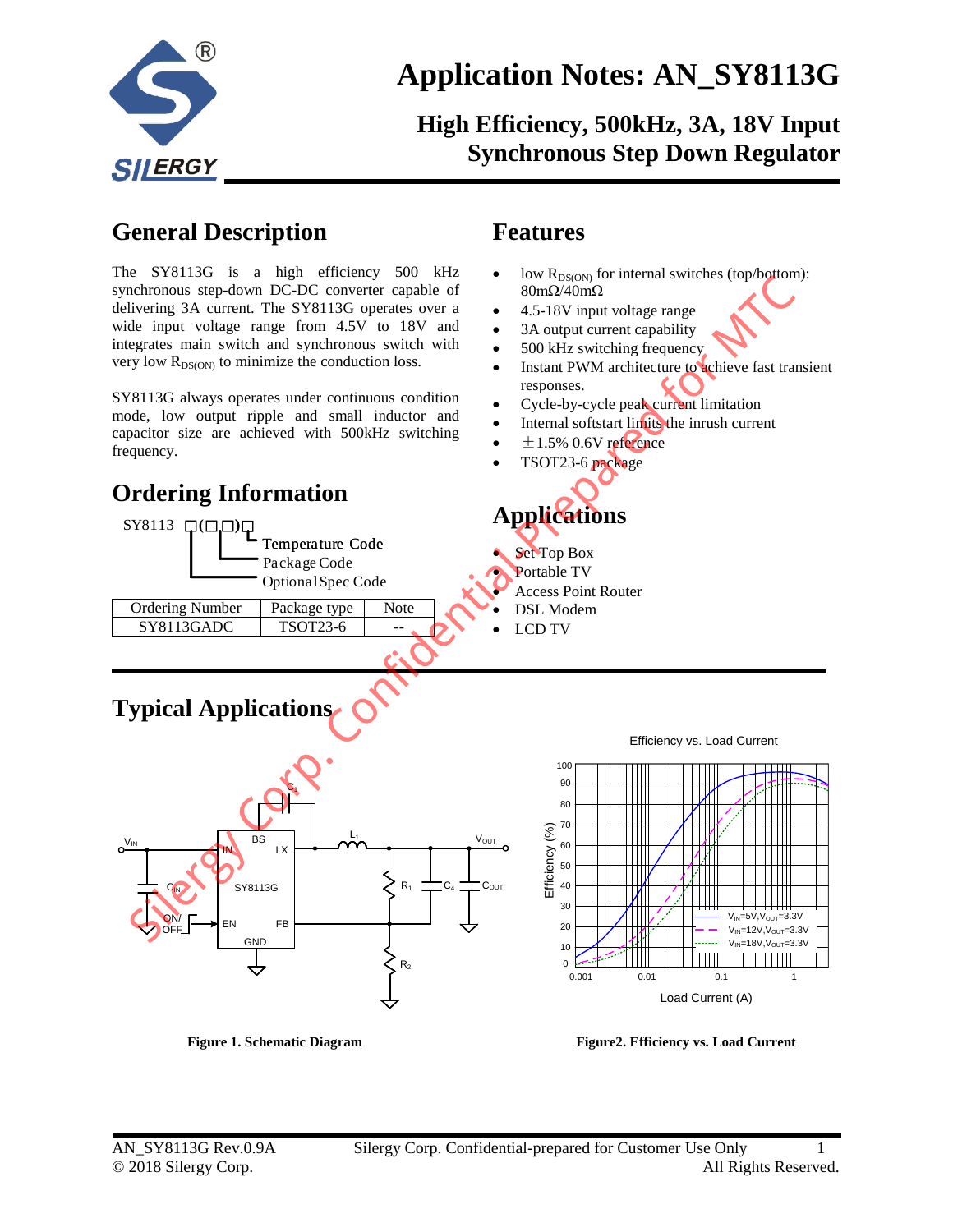

### **High Efficiency, 500kHz, 3A, 18V Input Synchronous Step Down Regulator**

### **General Description**

The SY8113G is a high efficiency 500 kHz synchronous step-down DC-DC converter capable of delivering 3A current. The SY8113G operates over a wide input voltage range from 4.5V to 18V and integrates main switch and synchronous switch with very low  $R_{DS(ON)}$  to minimize the conduction loss.

SY8113G always operates under continuous condition mode, low output ripple and small inductor and capacitor size are achieved with 500kHz switching frequency.

> Package Code Temperature Code

Ordering Number | Package type | Note

Optional Spec Code

### **Ordering Information**

□**(**□□**)** SY8113 □

**Features**

- low  $R_{DS(ON)}$  for internal switches (top/bottom): 80mΩ/40mΩ
- 4.5-18V input voltage range
- 3A output current capability
- 500 kHz switching frequency
- Instant PWM architecture to achieve fast transient responses.
- Cycle-by-cycle peak current limitation
- Internal softstart limits the inrush current
- $\pm$ 1.5% 0.6V reference
- TSOT23-6 package

# **Applications**

- Set Top Box
- Portable TV
- Access Point Router
- DSL Modem
- LCD TV

V<sub>OUT</sub>

 $\mathtt{C}_4$ 



V<sub>IN</sub><br>GND EN SY8113G<br>OPFLIT EN GND FB

ON SY8113G

ON/

Efficiency vs. Load Current



IN LX

 $\mathsf{C}_1$ 

 $R_1$   $R_2$   $R_3$   $R_4$   $C_4$   $C_{\text{OUT}}$   $C_{\text{OUT}}$ 

 $\mathsf{R}_2$ 

OSYB13G LX

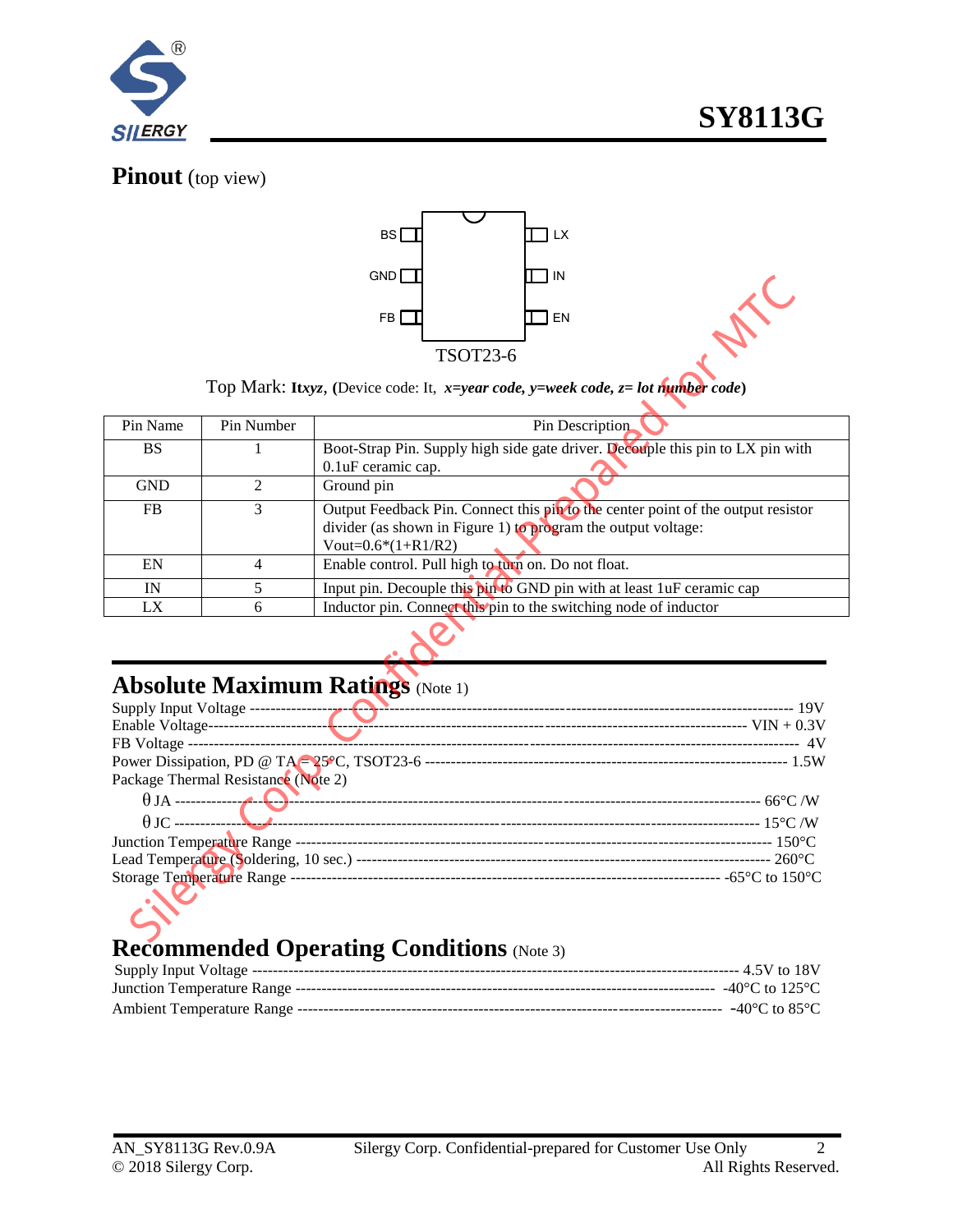

### **Pinout** (top view)



|            |                                     | GNDLI<br>∟™                                                                                                                                                                |  |  |  |  |
|------------|-------------------------------------|----------------------------------------------------------------------------------------------------------------------------------------------------------------------------|--|--|--|--|
|            |                                     | FB I<br>EN                                                                                                                                                                 |  |  |  |  |
|            |                                     | <b>TSOT23-6</b>                                                                                                                                                            |  |  |  |  |
|            |                                     | Top Mark: Itxyz, (Device code: It, x=year code, y=week code, $z =$ lot number code)                                                                                        |  |  |  |  |
| Pin Name   | Pin Number                          | Pin Description                                                                                                                                                            |  |  |  |  |
| <b>BS</b>  | 1                                   | Boot-Strap Pin. Supply high side gate driver. Decouple this pin to LX pin with<br>0.1uF ceramic cap.                                                                       |  |  |  |  |
| <b>GND</b> | 2                                   | Ground pin                                                                                                                                                                 |  |  |  |  |
| <b>FB</b>  | 3                                   | Output Feedback Pin. Connect this pin to the center point of the output resistor<br>divider (as shown in Figure 1) to program the output voltage:<br>Vout= $0.6*(1+R1/R2)$ |  |  |  |  |
| EN         | $\overline{4}$                      | Enable control. Pull high to turn on. Do not float.                                                                                                                        |  |  |  |  |
| IN         | 5                                   | Input pin. Decouple this pin to GND pin with at least 1uF ceramic cap                                                                                                      |  |  |  |  |
| LX         | 6                                   | Inductor pin. Connect this pin to the switching node of inductor                                                                                                           |  |  |  |  |
|            |                                     | <b>Absolute Maximum Ratings (Note 1)</b>                                                                                                                                   |  |  |  |  |
|            |                                     |                                                                                                                                                                            |  |  |  |  |
|            |                                     |                                                                                                                                                                            |  |  |  |  |
|            |                                     |                                                                                                                                                                            |  |  |  |  |
|            |                                     |                                                                                                                                                                            |  |  |  |  |
|            | Package Thermal Resistance (Note 2) |                                                                                                                                                                            |  |  |  |  |
|            |                                     |                                                                                                                                                                            |  |  |  |  |
|            |                                     |                                                                                                                                                                            |  |  |  |  |
|            |                                     |                                                                                                                                                                            |  |  |  |  |
|            |                                     |                                                                                                                                                                            |  |  |  |  |
|            |                                     |                                                                                                                                                                            |  |  |  |  |



| Package Thermal Resistance (Note 2) |  |
|-------------------------------------|--|
|                                     |  |
|                                     |  |
|                                     |  |
|                                     |  |
|                                     |  |
|                                     |  |

## **Recommended Operating Conditions** (Note 3)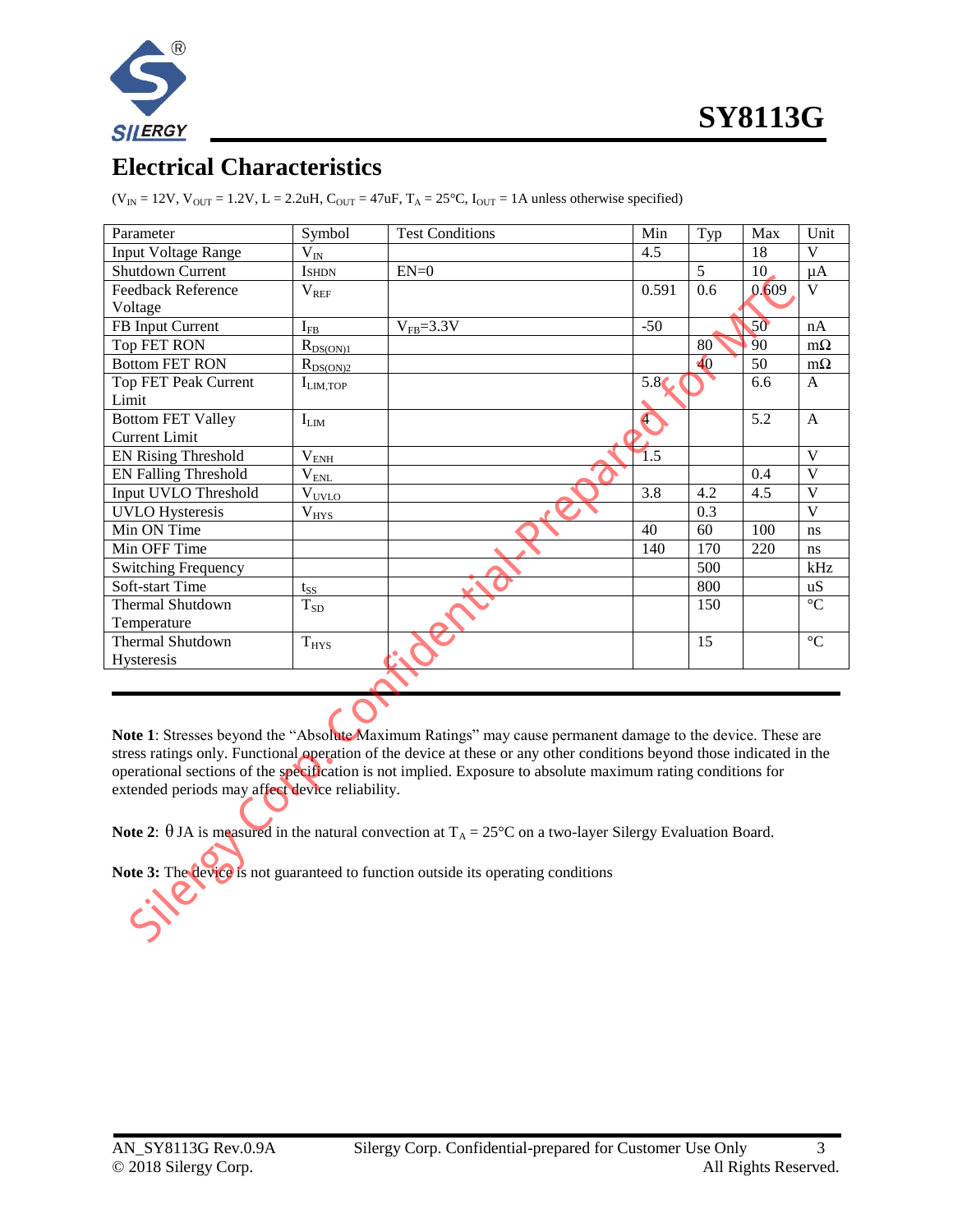

### **Electrical Characteristics**

 $(V_{IN} = 12V, V_{OUT} = 1.2V, L = 2.2uH, C_{OUT} = 47uF, T_A = 25 \text{ C}, I_{OUT} = 1A$  unless otherwise specified)

| Parameter                                                                                                                    | Symbol            | <b>Test Conditions</b>                                                                                                 | Min              | Typ | Max             | Unit                      |  |  |  |
|------------------------------------------------------------------------------------------------------------------------------|-------------------|------------------------------------------------------------------------------------------------------------------------|------------------|-----|-----------------|---------------------------|--|--|--|
| <b>Input Voltage Range</b>                                                                                                   | $\rm V_{IN}$      |                                                                                                                        | 4.5              |     | 18              | $\overline{\mathsf{V}}$   |  |  |  |
| Shutdown Current                                                                                                             | <b>ISHDN</b>      | $EN=0$                                                                                                                 |                  | 5   | 10              | $\mu A$                   |  |  |  |
| Feedback Reference                                                                                                           | $\rm V_{REF}$     |                                                                                                                        | 0.591            | 0.6 | 0.609           | $\overline{\mathbf{V}}$   |  |  |  |
| Voltage                                                                                                                      |                   |                                                                                                                        |                  |     |                 |                           |  |  |  |
| FB Input Current                                                                                                             | $I_{FB}$          | $V_{FB} = 3.3V$                                                                                                        | $-50$            |     | 50              | nA                        |  |  |  |
| <b>Top FET RON</b>                                                                                                           | $R_{DS(ON)1}$     |                                                                                                                        |                  | 80  | 90              | $m\Omega$                 |  |  |  |
| <b>Bottom FET RON</b>                                                                                                        | $R_{DS(ON)2}$     |                                                                                                                        |                  | 40  | $\overline{50}$ | $m\Omega$                 |  |  |  |
| <b>Top FET Peak Current</b>                                                                                                  | $I_{LIM,TOP}$     |                                                                                                                        | 5.8 <sub>6</sub> |     | 6.6             | $\mathbf{A}$              |  |  |  |
| Limit                                                                                                                        |                   |                                                                                                                        |                  |     |                 |                           |  |  |  |
| <b>Bottom FET Valley</b>                                                                                                     | $I_{LM}$          |                                                                                                                        | $\overline{4}$   |     | 5.2             | $\mathbf{A}$              |  |  |  |
| <b>Current Limit</b>                                                                                                         |                   |                                                                                                                        |                  |     |                 |                           |  |  |  |
| <b>EN Rising Threshold</b>                                                                                                   | $\rm V_{\rm EMH}$ |                                                                                                                        | 1.5              |     |                 | $\overline{\mathsf{V}}$   |  |  |  |
| <b>EN Falling Threshold</b>                                                                                                  | $\rm V_{\rm ENL}$ |                                                                                                                        |                  |     | 0.4             | $\overline{\mathsf{V}}$   |  |  |  |
| Input UVLO Threshold                                                                                                         | $V_{UVLO}$        |                                                                                                                        | 3.8              | 4.2 | 4.5             | $\overline{\mathsf{V}}$   |  |  |  |
| <b>UVLO</b> Hysteresis                                                                                                       | $V_{HYS}$         |                                                                                                                        |                  | 0.3 |                 | $\overline{\rm V}$        |  |  |  |
| Min ON Time                                                                                                                  |                   |                                                                                                                        | 40               | 60  | 100             | ns                        |  |  |  |
| Min OFF Time                                                                                                                 |                   |                                                                                                                        | 140              | 170 | 220             | ns                        |  |  |  |
| <b>Switching Frequency</b>                                                                                                   |                   |                                                                                                                        |                  | 500 |                 | kHz                       |  |  |  |
| Soft-start Time                                                                                                              | $t_{SS}$          |                                                                                                                        |                  | 800 |                 | uS                        |  |  |  |
| <b>Thermal Shutdown</b>                                                                                                      | $T_{SD}$          |                                                                                                                        |                  | 150 |                 | $\overline{\mathfrak{C}}$ |  |  |  |
| Temperature                                                                                                                  |                   |                                                                                                                        |                  |     |                 |                           |  |  |  |
| <b>Thermal Shutdown</b>                                                                                                      | $T_{HYS}$         |                                                                                                                        |                  | 15  |                 | $\mathcal{C}$             |  |  |  |
| Hysteresis                                                                                                                   |                   |                                                                                                                        |                  |     |                 |                           |  |  |  |
|                                                                                                                              |                   |                                                                                                                        |                  |     |                 |                           |  |  |  |
|                                                                                                                              |                   |                                                                                                                        |                  |     |                 |                           |  |  |  |
|                                                                                                                              |                   |                                                                                                                        |                  |     |                 |                           |  |  |  |
|                                                                                                                              |                   | Note 1: Stresses beyond the "Absolute Maximum Ratings" may cause permanent damage to the device. These are             |                  |     |                 |                           |  |  |  |
|                                                                                                                              |                   | stress ratings only. Functional operation of the device at these or any other conditions beyond those indicated in the |                  |     |                 |                           |  |  |  |
| operational sections of the specification is not implied. Exposure to absolute maximum rating conditions for                 |                   |                                                                                                                        |                  |     |                 |                           |  |  |  |
| extended periods may affect device reliability.                                                                              |                   |                                                                                                                        |                  |     |                 |                           |  |  |  |
|                                                                                                                              |                   |                                                                                                                        |                  |     |                 |                           |  |  |  |
| Note 2: $\theta$ JA is measured in the natural convection at T <sub>A</sub> = 25 °C on a two-layer Silergy Evaluation Board. |                   |                                                                                                                        |                  |     |                 |                           |  |  |  |
|                                                                                                                              |                   |                                                                                                                        |                  |     |                 |                           |  |  |  |
|                                                                                                                              |                   |                                                                                                                        |                  |     |                 |                           |  |  |  |
| Note 3: The device is not guaranteed to function outside its operating conditions                                            |                   |                                                                                                                        |                  |     |                 |                           |  |  |  |
|                                                                                                                              |                   |                                                                                                                        |                  |     |                 |                           |  |  |  |
|                                                                                                                              |                   |                                                                                                                        |                  |     |                 |                           |  |  |  |
|                                                                                                                              |                   |                                                                                                                        |                  |     |                 |                           |  |  |  |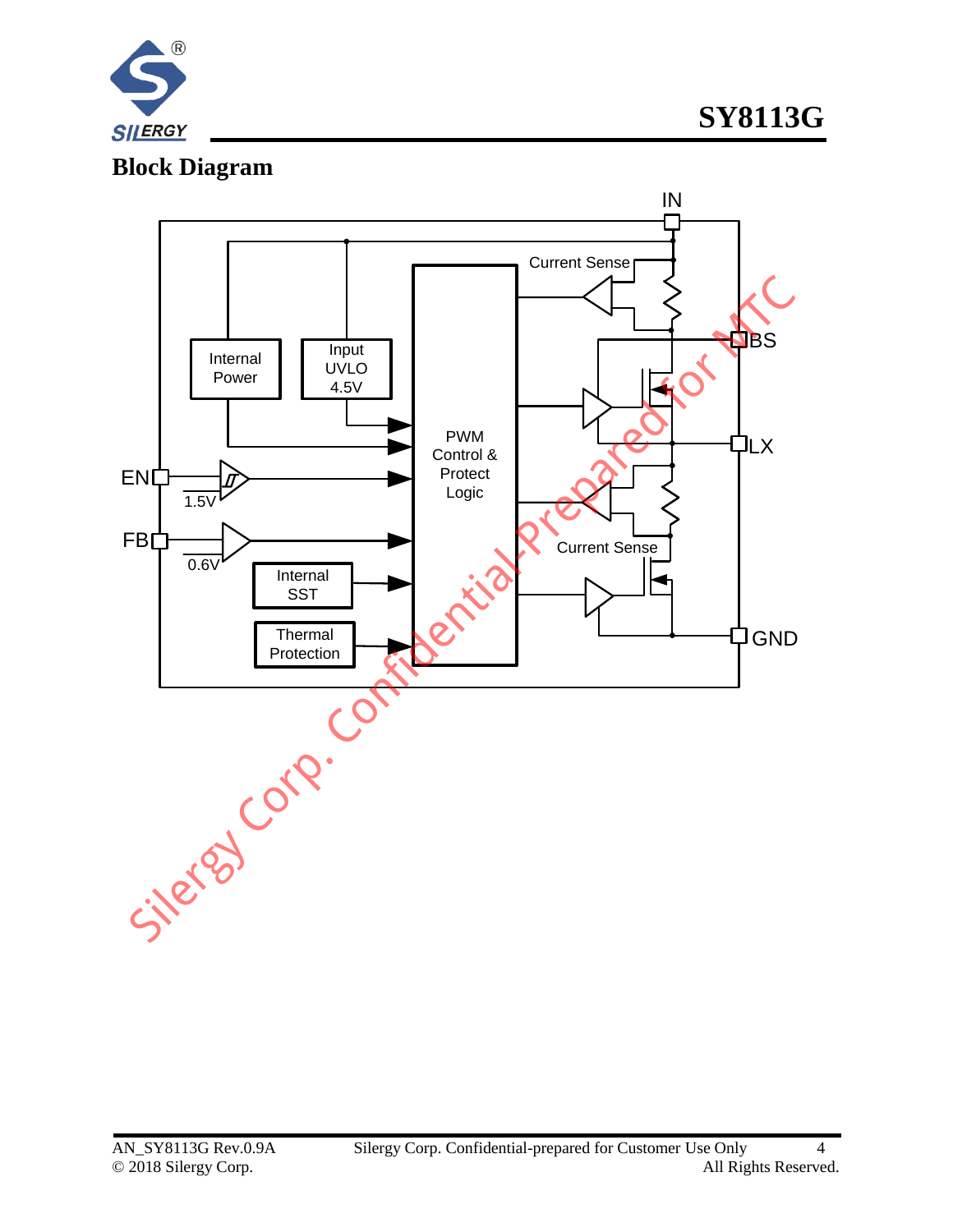

**SY8113G**

### **Block Diagram**

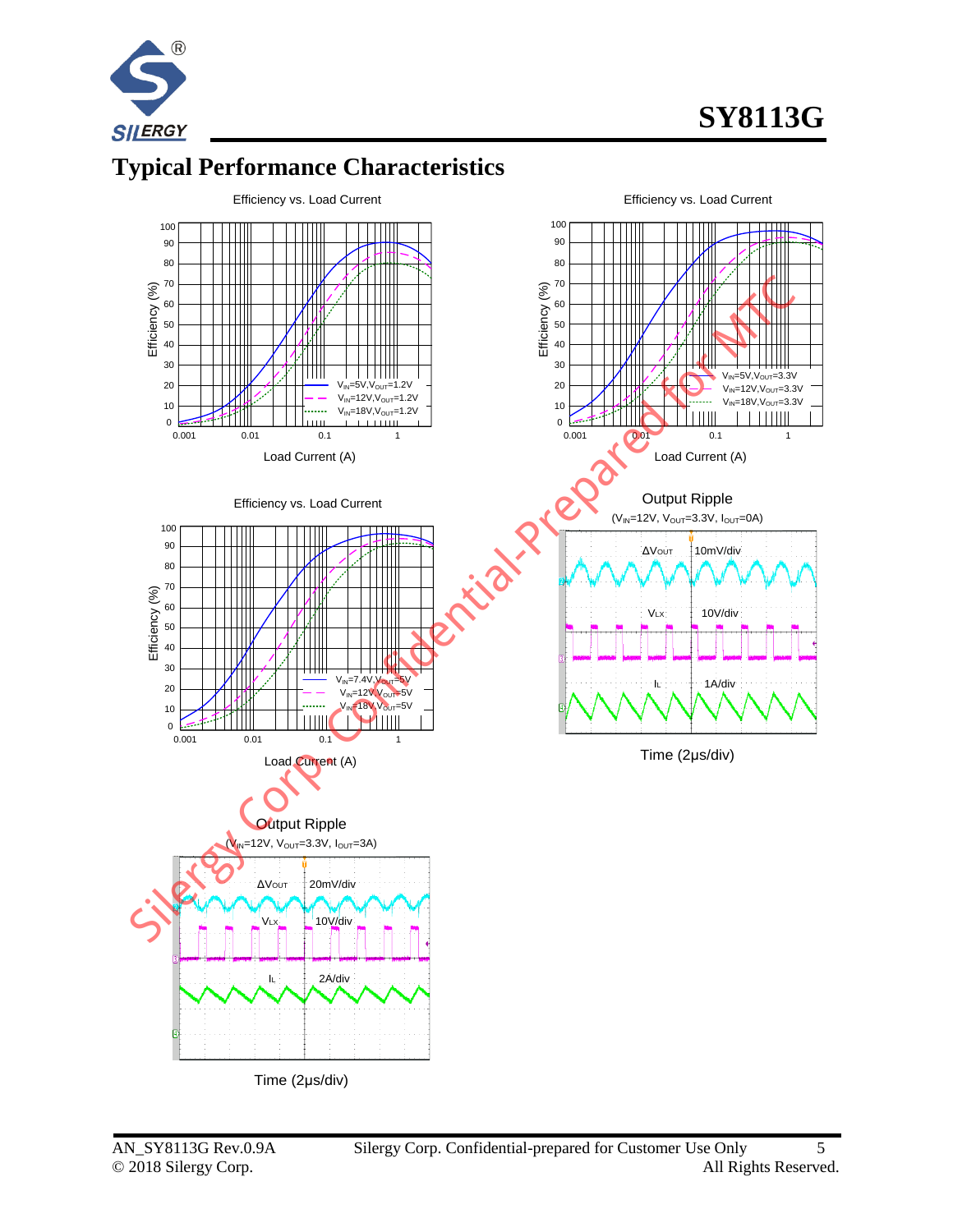





Time (2μs/div)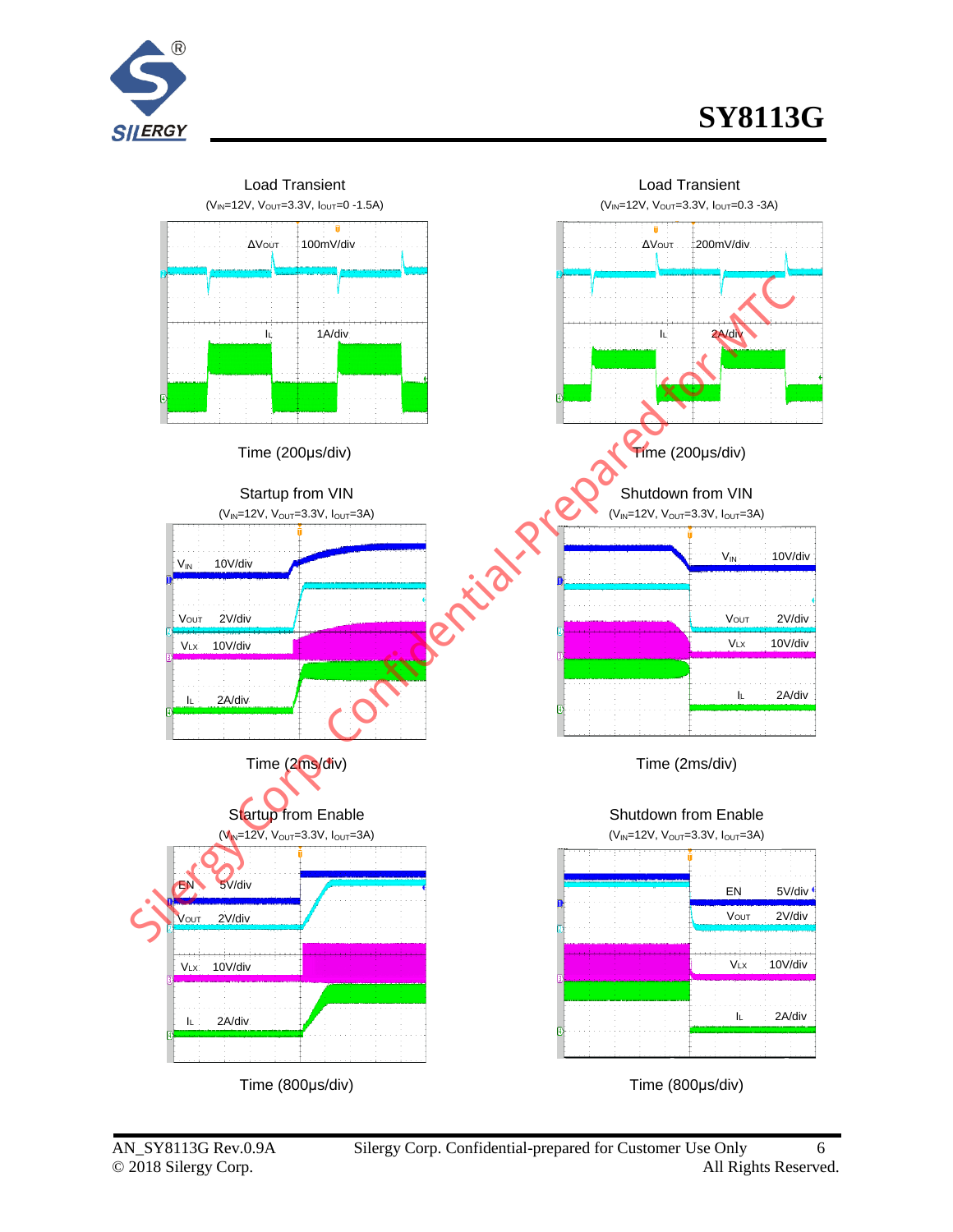

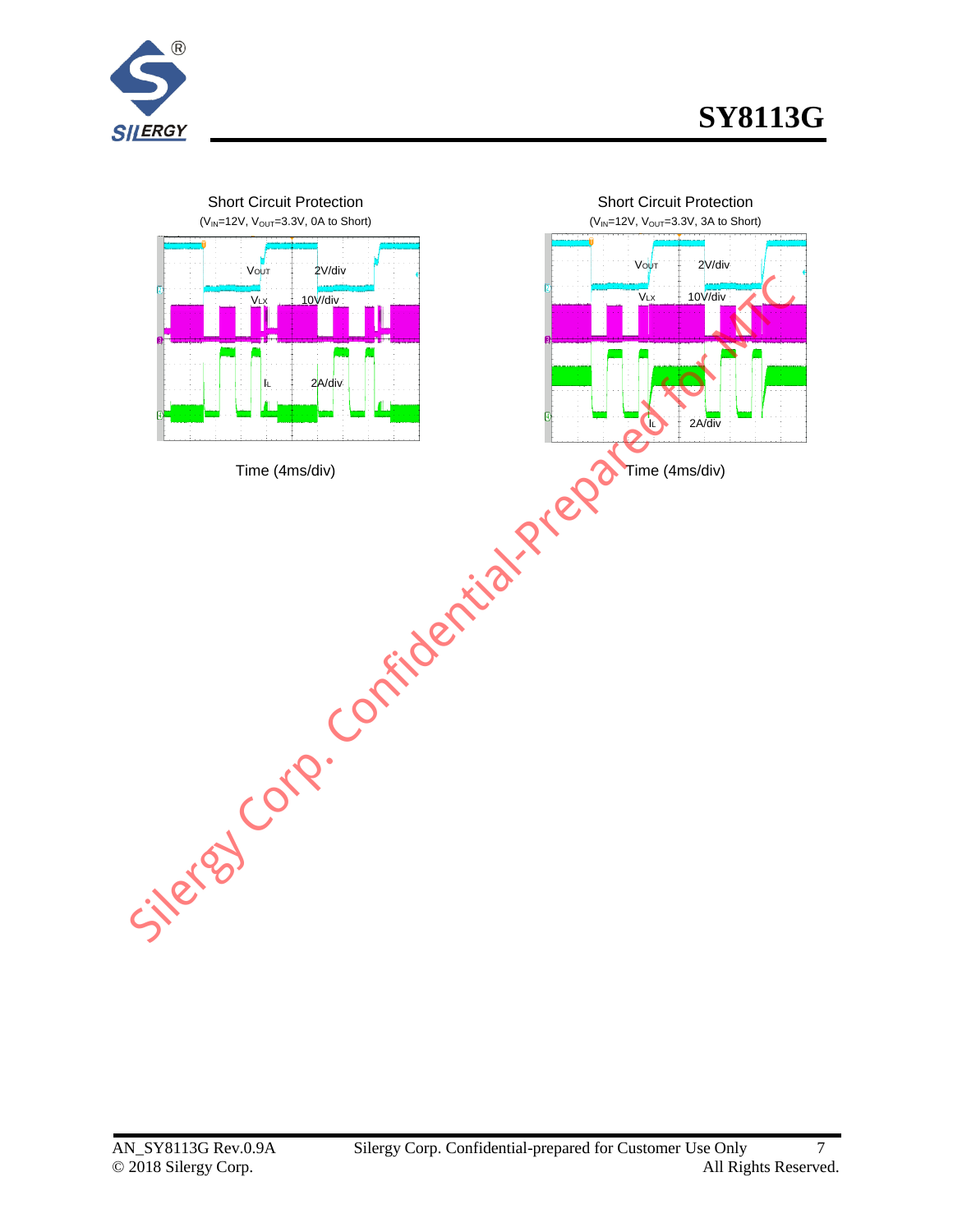

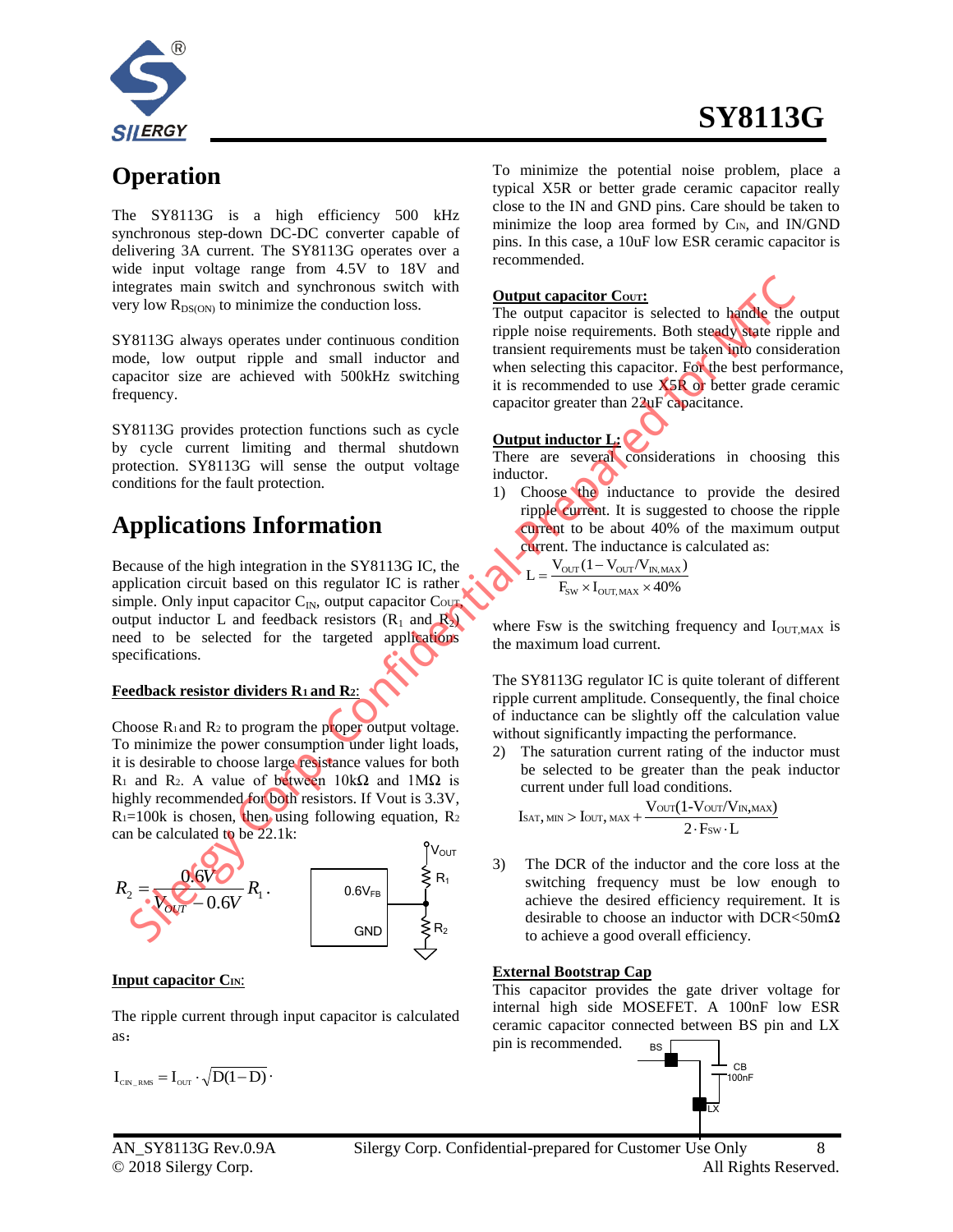

# **SY8113G**

### **Operation**

The SY8113G is a high efficiency 500 kHz synchronous step-down DC-DC converter capable of delivering 3A current. The SY8113G operates over a wide input voltage range from 4.5V to 18V and integrates main switch and synchronous switch with very low  $R_{DS(ON)}$  to minimize the conduction loss.

SY8113G always operates under continuous condition mode, low output ripple and small inductor and capacitor size are achieved with 500kHz switching frequency.

SY8113G provides protection functions such as cycle by cycle current limiting and thermal shutdown protection. SY8113G will sense the output voltage conditions for the fault protection.

### **Applications Information**

Because of the high integration in the SY8113G IC, the application circuit based on this regulator IC is rather simple. Only input capacitor  $C_{\text{IN}}$ , output capacitor Cour, output inductor L and feedback resistors  $(R_1 \text{ and } R_2)$ need to be selected for the targeted applications specifications.

### **Feedback resistor dividers R1 and R2**:

Choose  $R_1$  and  $R_2$  to program the proper output voltage. To minimize the power consumption under light loads, it is desirable to choose large resistance values for both R<sub>1</sub> and R<sub>2</sub>. A value of between  $10k\Omega$  and  $1M\Omega$  is highly recommended for both resistors. If Vout is 3.3V,  $R_1=100k$  is chosen, then using following equation,  $R_2$ can be calculated to be 22.1k: egrates main switch and synchronous switch with<br>
my low Regore) to minimize the confidential of the confidential-Preparent<br>
(XII3G always operates under continuous condition<br>
(XII3G always operates under continuous condit



#### **Input capacitor CIN**:

The ripple current through input capacitor is calculated as:

$$
I_{_{\rm CN\_RMS}}=I_{_{\rm OUT}}\cdot\sqrt{D(1-D)}\,\cdot
$$

To minimize the potential noise problem, place a typical X5R or better grade ceramic capacitor really close to the IN and GND pins. Care should be taken to minimize the loop area formed by C<sub>IN</sub>, and IN/GND pins. In this case, a 10uF low ESR ceramic capacitor is recommended.

#### **Output capacitor Cour:**

The output capacitor is selected to handle the output ripple noise requirements. Both steady state ripple and transient requirements must be taken into consideration when selecting this capacitor. For the best performance, it is recommended to use  $X5R$  or better grade ceramic capacitor greater than 22uF capacitance.

#### **Output inductor L:**

There are several considerations in choosing this inductor.

1) Choose the inductance to provide the desired ripple current. It is suggested to choose the ripple current to be about 40% of the maximum output current. The inductance is calculated as:

$$
L = \frac{V_{\text{OUT}}(1 - V_{\text{OUT}}/V_{\text{IN, MAX}})}{F_{\text{SW}} \times I_{\text{OUT, MAX}} \times 40\%
$$

where Fsw is the switching frequency and  $I<sub>OUTMAX</sub>$  is the maximum load current.

The SY8113G regulator IC is quite tolerant of different ripple current amplitude. Consequently, the final choice of inductance can be slightly off the calculation value without significantly impacting the performance.

2) The saturation current rating of the inductor must be selected to be greater than the peak inductor

$$
L_{\text{SAT, MIN}} = \text{I} \times \text{I} \times \text{I} \times \text{I} \times \text{I} \times \text{I} \times \text{I} \times \text{I} \times \text{I} \times \text{I} \times \text{I} \times \text{I} \times \text{I} \times \text{I} \times \text{I} \times \text{I} \times \text{I} \times \text{I} \times \text{I} \times \text{I} \times \text{I} \times \text{I} \times \text{I} \times \text{I} \times \text{I} \times \text{I} \times \text{I} \times \text{I} \times \text{I} \times \text{I} \times \text{I} \times \text{I} \times \text{I} \times \text{I} \times \text{I} \times \text{I} \times \text{I} \times \text{I} \times \text{I} \times \text{I} \times \text{I} \times \text{I} \times \text{I} \times \text{I} \times \text{I} \times \text{I} \times \text{I} \times \text{I} \times \text{I} \times \text{I} \times \text{I} \times \text{I} \times \text{I} \times \text{I} \times \text{I} \times \text{I} \times \text{I} \times \text{I} \times \text{I} \times \text{I} \times \text{I} \times \text{I} \times \text{I} \times \text{I} \times \text{I} \times \text{I} \times \text{I} \times \text{I} \times \text{I} \times \text{I} \times \text{I} \times \text{I} \times \text{I} \times \text{I} \times \text{I} \times \text{I} \times \text{I} \times \text{I} \times \text{I} \times \text{I} \times \text{I} \times \text{I} \times \text{I} \times \text{I} \times \text{I} \times \text{I} \times \text{I} \times \text{I} \times \text{I} \times \text{I} \times \text{I} \times \text{I} \times \text{I} \times \text{I} \times \text{I} \times \text{I} \times \text{I} \times \text{I} \times \text{I} \times \text{I} \times \text{I} \times \text{I} \times \text{I} \times \text{I} \times \text{I} \times \text{I} \times \text{I} \times
$$

3) The DCR of the inductor and the core loss at the switching frequency must be low enough to achieve the desired efficiency requirement. It is desirable to choose an inductor with DCR<50mΩ to achieve a good overall efficiency.

#### **External Bootstrap Cap**

This capacitor provides the gate driver voltage for internal high side MOSEFET. A 100nF low ESR ceramic capacitor connected between BS pin and LX pin is recommended. BS

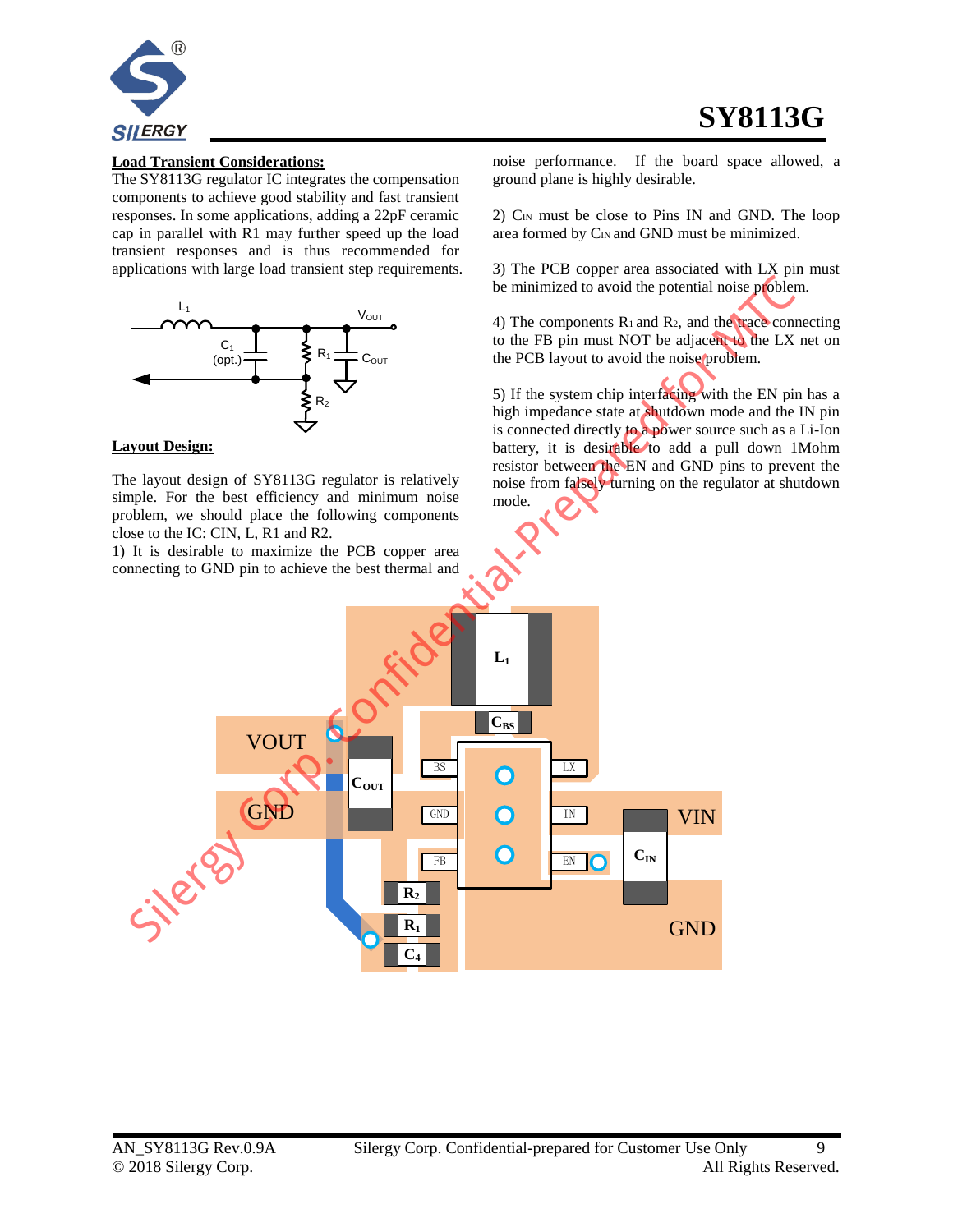

#### **Load Transient Considerations:**

The SY8113G regulator IC integrates the compensation components to achieve good stability and fast transient responses. In some applications, adding a 22pF ceramic cap in parallel with R1 may further speed up the load transient responses and is thus recommended for applications with large load transient step requirements.



#### **Layout Design:**

The layout design of SY8113G regulator is relatively simple. For the best efficiency and minimum noise problem, we should place the following components close to the IC: CIN, L, R1 and R2.

1) It is desirable to maximize the PCB copper area connecting to GND pin to achieve the best thermal and

noise performance. If the board space allowed, a ground plane is highly desirable.

2) C<sub>IN</sub> must be close to Pins IN and GND. The loop area formed by C<sub>IN</sub> and GND must be minimized.

3) The PCB copper area associated with LX pin must be minimized to avoid the potential noise problem.

4) The components  $R_1$  and  $R_2$ , and the trace connecting to the FB pin must NOT be adjacent to the LX net on the PCB layout to avoid the noise problem.

5) If the system chip interfacing with the EN pin has a high impedance state at shutdown mode and the IN pin is connected directly to a power source such as a Li-Ion battery, it is desirable to add a pull down 1Mohm resistor between the EN and GND pins to prevent the noise from falsely turning on the regulator at shutdown mode.

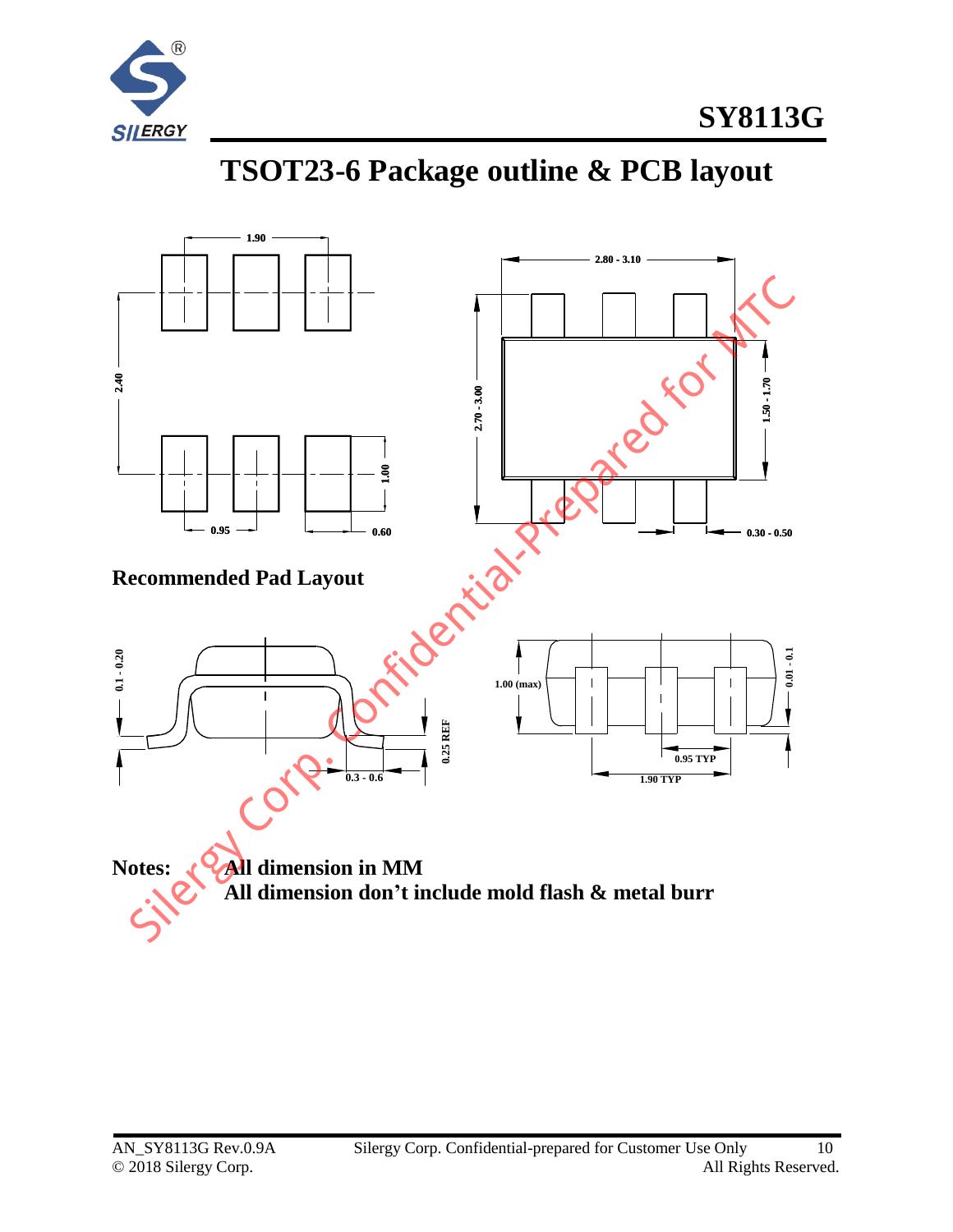



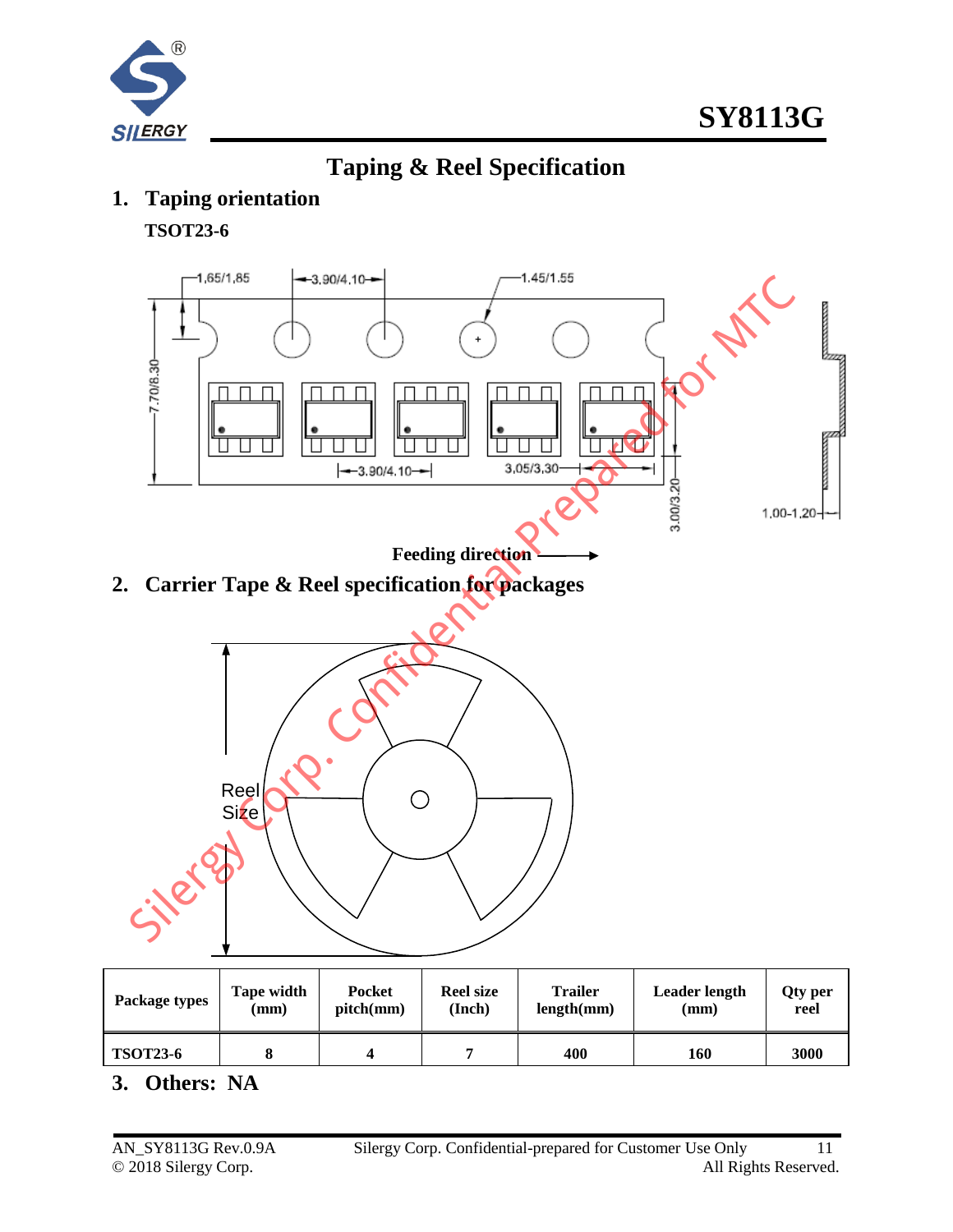

### **Taping & Reel Specification**

**1. Taping orientation**

**TSOT23-6**



| Package types   | Tape width | <b>Pocket</b> | <b>Reel size</b> | <b>Trailer</b> | Leader length | Qty per |
|-----------------|------------|---------------|------------------|----------------|---------------|---------|
|                 | (mm)       | pitch(mm)     | (Inch)           | length(mm)     | (mm)          | reel    |
| <b>TSOT23-6</b> |            |               |                  | 400            | 160           | 3000    |

**3. Others: NA**